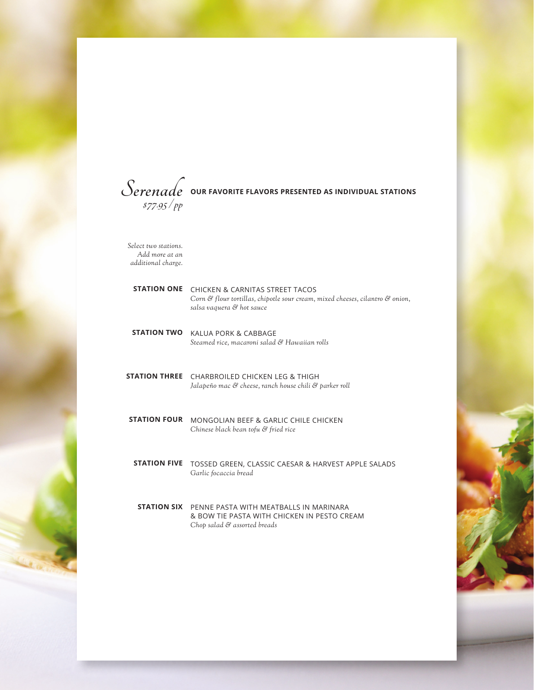

*Select two stations. Add more at an additional charge.* 

| <b>STATION ONE</b>   | <b>CHICKEN &amp; CARNITAS STREET TACOS</b><br>Corn & flour tortillas, chipotle sour cream, mixed cheeses, cilantro & onion,<br>salsa vaguera & hot sauce |
|----------------------|----------------------------------------------------------------------------------------------------------------------------------------------------------|
| <b>STATION TWO</b>   | KALUA PORK & CABBAGE<br>Steamed rice, macaroni salad & Hawaiian rolls                                                                                    |
| <b>STATION THREE</b> | CHARBROILED CHICKEN LEG & THIGH<br>Jalapeño mac & cheese, ranch house chili & parker roll                                                                |
| <b>STATION FOUR</b>  | MONGOLIAN BEFF & GARLIC CHILF CHICKEN<br>Chinese black bean tofu & fried rice                                                                            |
| <b>STATION FIVE</b>  | TOSSED GREEN, CLASSIC CAESAR & HARVEST APPLE SALADS<br>Garlic focaccia bread                                                                             |
|                      | <b>STATION SIX</b> PENNE PASTA WITH MEATBALLS IN MARINARA<br>& BOW TIE PASTA WITH CHICKEN IN PESTO CREAM<br>Chop salad & assorted breads                 |